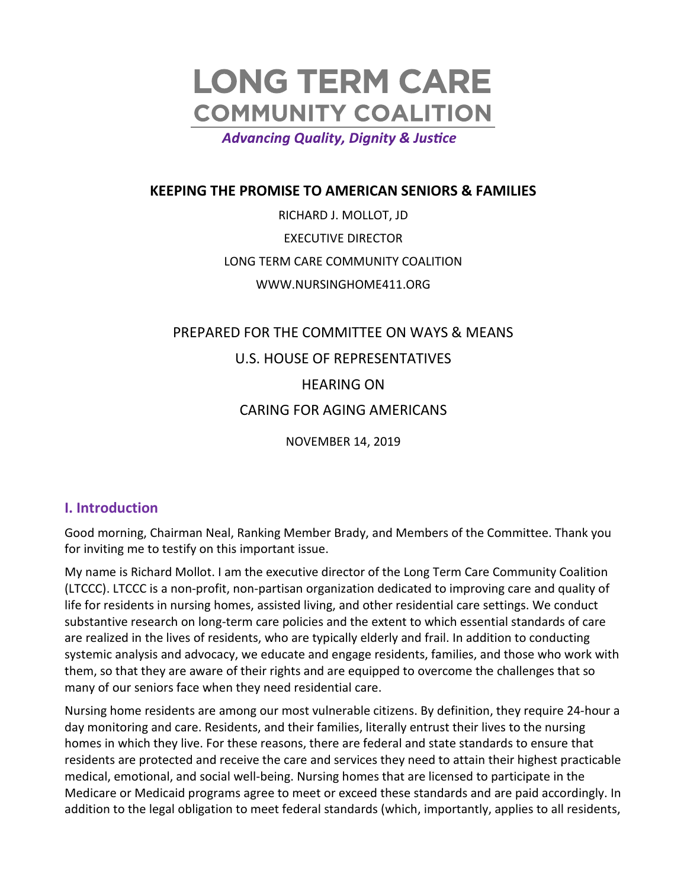# **LONG TERM CARE COMMUNITY COALITION**

**Advancing Quality, Dignity & Justice** 

### **KEEPING THE PROMISE TO AMERICAN SENIORS & FAMILIES**

RICHARD J. MOLLOT, JD EXECUTIVE DIRECTOR LONG TERM CARE COMMUNITY COALITION WWW.NURSINGHOME411.ORG

# PREPARED FOR THE COMMITTEE ON WAYS & MEANS U.S. HOUSE OF REPRESENTATIVES HEARING ON CARING FOR AGING AMERICANS NOVEMBER 14, 2019

#### **I. Introduction**

Good morning, Chairman Neal, Ranking Member Brady, and Members of the Committee. Thank you for inviting me to testify on this important issue.

My name is Richard Mollot. I am the executive director of the Long Term Care Community Coalition (LTCCC). LTCCC is a non-profit, non-partisan organization dedicated to improving care and quality of life for residents in nursing homes, assisted living, and other residential care settings. We conduct substantive research on long-term care policies and the extent to which essential standards of care are realized in the lives of residents, who are typically elderly and frail. In addition to conducting systemic analysis and advocacy, we educate and engage residents, families, and those who work with them, so that they are aware of their rights and are equipped to overcome the challenges that so many of our seniors face when they need residential care.

Nursing home residents are among our most vulnerable citizens. By definition, they require 24-hour a day monitoring and care. Residents, and their families, literally entrust their lives to the nursing homes in which they live. For these reasons, there are federal and state standards to ensure that residents are protected and receive the care and services they need to attain their highest practicable medical, emotional, and social well-being. Nursing homes that are licensed to participate in the Medicare or Medicaid programs agree to meet or exceed these standards and are paid accordingly. In addition to the legal obligation to meet federal standards (which, importantly, applies to all residents,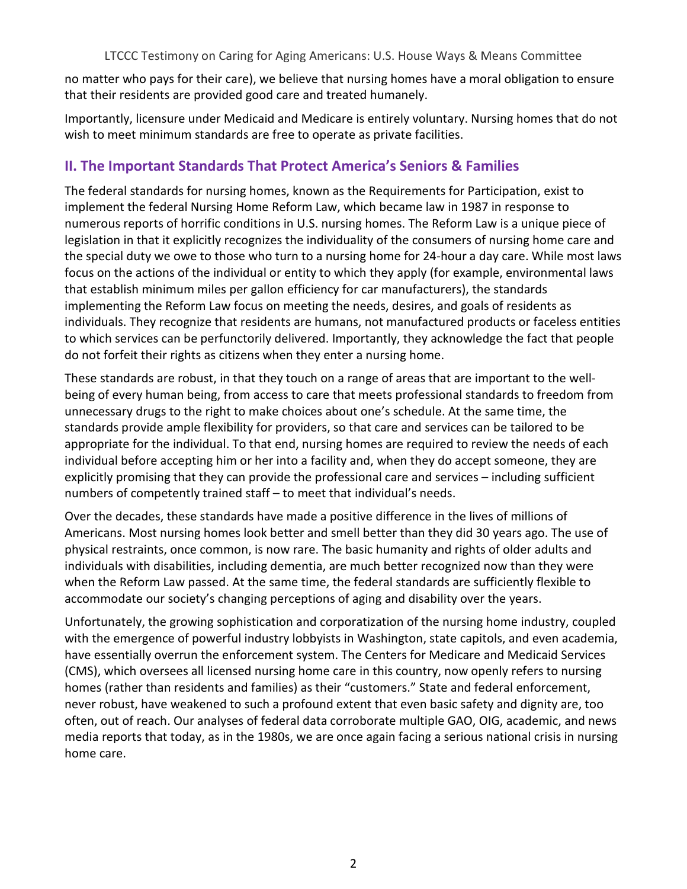no matter who pays for their care), we believe that nursing homes have a moral obligation to ensure that their residents are provided good care and treated humanely.

Importantly, licensure under Medicaid and Medicare is entirely voluntary. Nursing homes that do not wish to meet minimum standards are free to operate as private facilities.

# **II. The Important Standards That Protect America's Seniors & Families**

The federal standards for nursing homes, known as the Requirements for Participation, exist to implement the federal Nursing Home Reform Law, which became law in 1987 in response to numerous reports of horrific conditions in U.S. nursing homes. The Reform Law is a unique piece of legislation in that it explicitly recognizes the individuality of the consumers of nursing home care and the special duty we owe to those who turn to a nursing home for 24-hour a day care. While most laws focus on the actions of the individual or entity to which they apply (for example, environmental laws that establish minimum miles per gallon efficiency for car manufacturers), the standards implementing the Reform Law focus on meeting the needs, desires, and goals of residents as individuals. They recognize that residents are humans, not manufactured products or faceless entities to which services can be perfunctorily delivered. Importantly, they acknowledge the fact that people do not forfeit their rights as citizens when they enter a nursing home.

These standards are robust, in that they touch on a range of areas that are important to the wellbeing of every human being, from access to care that meets professional standards to freedom from unnecessary drugs to the right to make choices about one's schedule. At the same time, the standards provide ample flexibility for providers, so that care and services can be tailored to be appropriate for the individual. To that end, nursing homes are required to review the needs of each individual before accepting him or her into a facility and, when they do accept someone, they are explicitly promising that they can provide the professional care and services – including sufficient numbers of competently trained staff – to meet that individual's needs.

Over the decades, these standards have made a positive difference in the lives of millions of Americans. Most nursing homes look better and smell better than they did 30 years ago. The use of physical restraints, once common, is now rare. The basic humanity and rights of older adults and individuals with disabilities, including dementia, are much better recognized now than they were when the Reform Law passed. At the same time, the federal standards are sufficiently flexible to accommodate our society's changing perceptions of aging and disability over the years.

Unfortunately, the growing sophistication and corporatization of the nursing home industry, coupled with the emergence of powerful industry lobbyists in Washington, state capitols, and even academia, have essentially overrun the enforcement system. The Centers for Medicare and Medicaid Services (CMS), which oversees all licensed nursing home care in this country, now openly refers to nursing homes (rather than residents and families) as their "customers." State and federal enforcement, never robust, have weakened to such a profound extent that even basic safety and dignity are, too often, out of reach. Our analyses of federal data corroborate multiple GAO, OIG, academic, and news media reports that today, as in the 1980s, we are once again facing a serious national crisis in nursing home care.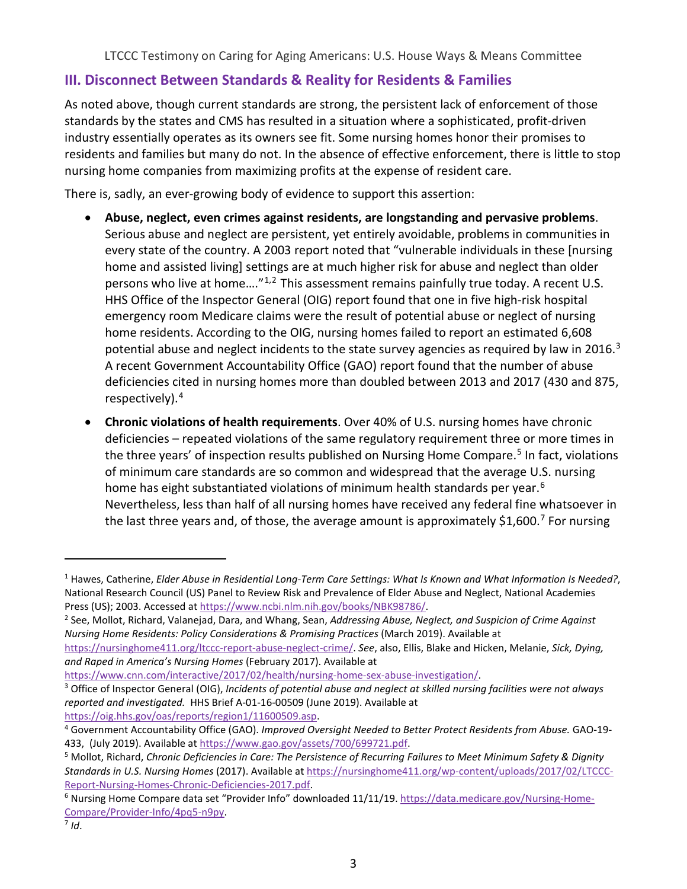# **III. Disconnect Between Standards & Reality for Residents & Families**

As noted above, though current standards are strong, the persistent lack of enforcement of those standards by the states and CMS has resulted in a situation where a sophisticated, profit-driven industry essentially operates as its owners see fit. Some nursing homes honor their promises to residents and families but many do not. In the absence of effective enforcement, there is little to stop nursing home companies from maximizing profits at the expense of resident care.

There is, sadly, an ever-growing body of evidence to support this assertion:

- **Abuse, neglect, even crimes against residents, are longstanding and pervasive problems**. Serious abuse and neglect are persistent, yet entirely avoidable, problems in communities in every state of the country. A 2003 report noted that "vulnerable individuals in these [nursing home and assisted living] settings are at much higher risk for abuse and neglect than older persons who live at home....<sup>"[1,](#page-2-0)[2](#page-2-1)</sup> This assessment remains painfully true today. A recent U.S. HHS Office of the Inspector General (OIG) report found that one in five high-risk hospital emergency room Medicare claims were the result of potential abuse or neglect of nursing home residents. According to the OIG, nursing homes failed to report an estimated 6,608 potential abuse and neglect incidents to the state survey agencies as required by law in 2016.<sup>[3](#page-2-2)</sup> A recent Government Accountability Office (GAO) report found that the number of abuse deficiencies cited in nursing homes more than doubled between 2013 and 2017 (430 and 875, respectively).[4](#page-2-3)
- **Chronic violations of health requirements**. Over 40% of U.S. nursing homes have chronic deficiencies – repeated violations of the same regulatory requirement three or more times in the three years' of inspection results published on Nursing Home Compare.<sup>[5](#page-2-4)</sup> In fact, violations of minimum care standards are so common and widespread that the average U.S. nursing home has eight substantiated violations of minimum health standards per year.<sup>[6](#page-2-5)</sup> Nevertheless, less than half of all nursing homes have received any federal fine whatsoever in the last three years and, of those, the average amount is approximately \$1,600.<sup>[7](#page-2-6)</sup> For nursing

[https://www.cnn.com/interactive/2017/02/health/nursing-home-sex-abuse-investigation/.](https://www.cnn.com/interactive/2017/02/health/nursing-home-sex-abuse-investigation/)

<span id="page-2-0"></span><sup>1</sup> Hawes, Catherine, *Elder Abuse in Residential Long-Term Care Settings: What Is Known and What Information Is Needed?*, National Research Council (US) Panel to Review Risk and Prevalence of Elder Abuse and Neglect, National Academies

<span id="page-2-1"></span>Press (US); 2003. Accessed at https://www.ncbi.nlm.nih.gov/books/NBK98786/.<br><sup>2</sup> See, Mollot, Richard, Valanejad, Dara, and Whang, Sean, *Addressing Abuse, Neglect, and Suspicion of Crime Against Nursing Home Residents: Policy Considerations & Promising Practices* (March 2019). Available at

[https://nursinghome411.org/ltccc-report-abuse-neglect-crime/.](https://nursinghome411.org/ltccc-report-abuse-neglect-crime/) *See*, also, Ellis, Blake and Hicken, Melanie, *Sick, Dying, and Raped in America's Nursing Homes* (February 2017). Available at

<span id="page-2-2"></span><sup>3</sup> Office of Inspector General (OIG), *Incidents of potential abuse and neglect at skilled nursing facilities were not always reported and investigated.* HHS Brief A-01-16-00509 (June 2019). Available at

<span id="page-2-3"></span>https://oig.hhs.gov/oas/reports/region1/11600509.asp.<br><sup>4</sup> Government Accountability Office (GAO). *Improved Oversight Needed to Better Protect Residents from Abuse.* GAO-19-433, (July 2019). Available at [https://www.gao.gov/assets/700/699721.pdf.](https://www.gao.gov/assets/700/699721.pdf)

<span id="page-2-4"></span><sup>5</sup> Mollot, Richard, *Chronic Deficiencies in Care: The Persistence of Recurring Failures to Meet Minimum Safety & Dignity Standards in U.S. Nursing Homes* (2017). Available a[t https://nursinghome411.org/wp-content/uploads/2017/02/LTCCC](https://nursinghome411.org/wp-content/uploads/2017/02/LTCCC-Report-Nursing-Homes-Chronic-Deficiencies-2017.pdf)Report-Nursing-Homes-Chronic-Deficiencies-2017.pdf.<br><sup>6</sup> Nursing Home Compare data set "Provider Info" downloaded 11/11/19. [https://data.medicare.gov/Nursing-Home-](https://data.medicare.gov/Nursing-Home-Compare/Provider-Info/4pq5-n9py)

<span id="page-2-5"></span>[Compare/Provider-Info/4pq5-n9py.](https://data.medicare.gov/Nursing-Home-Compare/Provider-Info/4pq5-n9py) 7 *Id*.

<span id="page-2-6"></span>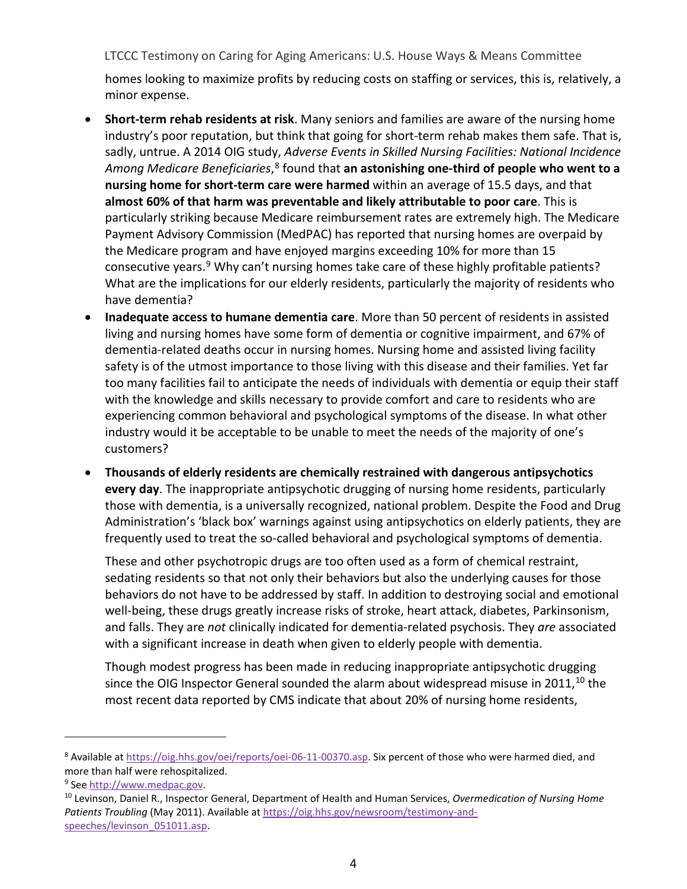homes looking to maximize profits by reducing costs on staffing or services, this is, relatively, a minor expense.

- **Short-term rehab residents at risk**. Many seniors and families are aware of the nursing home industry's poor reputation, but think that going for short-term rehab makes them safe. That is, sadly, untrue. A 2014 OIG study, *Adverse Events in Skilled Nursing Facilities: National Incidence*  Among Medicare Beneficiaries,<sup>[8](#page-3-0)</sup> found that an astonishing one-third of people who went to a **nursing home for short-term care were harmed** within an average of 15.5 days, and that **almost 60% of that harm was preventable and likely attributable to poor care**. This is particularly striking because Medicare reimbursement rates are extremely high. The Medicare Payment Advisory Commission (MedPAC) has reported that nursing homes are overpaid by the Medicare program and have enjoyed margins exceeding 10% for more than 15 consecutive years.<sup>[9](#page-3-1)</sup> Why can't nursing homes take care of these highly profitable patients? What are the implications for our elderly residents, particularly the majority of residents who have dementia?
- **Inadequate access to humane dementia care**. More than 50 percent of residents in assisted living and nursing homes have some form of dementia or cognitive impairment, and 67% of dementia-related deaths occur in nursing homes. Nursing home and assisted living facility safety is of the utmost importance to those living with this disease and their families. Yet far too many facilities fail to anticipate the needs of individuals with dementia or equip their staff with the knowledge and skills necessary to provide comfort and care to residents who are experiencing common behavioral and psychological symptoms of the disease. In what other industry would it be acceptable to be unable to meet the needs of the majority of one's customers?
- **Thousands of elderly residents are chemically restrained with dangerous antipsychotics every day**. The inappropriate antipsychotic drugging of nursing home residents, particularly those with dementia, is a universally recognized, national problem. Despite the Food and Drug Administration's 'black box' warnings against using antipsychotics on elderly patients, they are frequently used to treat the so-called behavioral and psychological symptoms of dementia.

These and other psychotropic drugs are too often used as a form of chemical restraint, sedating residents so that not only their behaviors but also the underlying causes for those behaviors do not have to be addressed by staff. In addition to destroying social and emotional well-being, these drugs greatly increase risks of stroke, heart attack, diabetes, Parkinsonism, and falls. They are *not* clinically indicated for dementia-related psychosis. They *are* associated with a significant increase in death when given to elderly people with dementia.

Though modest progress has been made in reducing inappropriate antipsychotic drugging since the OIG Inspector General sounded the alarm about widespread misuse in 2011,  $^{10}$  $^{10}$  $^{10}$  the most recent data reported by CMS indicate that about 20% of nursing home residents,

<span id="page-3-0"></span><sup>8</sup> Available at [https://oig.hhs.gov/oei/reports/oei-06-11-00370.asp.](https://oig.hhs.gov/oei/reports/oei-06-11-00370.asp) Six percent of those who were harmed died, and more than half were rehospitalized.

<span id="page-3-2"></span>

<span id="page-3-1"></span><sup>&</sup>lt;sup>9</sup> See [http://www.medpac.gov.](http://www.medpac.gov/)<br><sup>10</sup> Levinson, Daniel R., Inspector General, Department of Health and Human Services, *Overmedication of Nursing Home Patients Troubling* (May 2011). Available a[t https://oig.hhs.gov/newsroom/testimony-and](https://oig.hhs.gov/newsroom/testimony-and-speeches/levinson_051011.asp)[speeches/levinson\\_051011.asp.](https://oig.hhs.gov/newsroom/testimony-and-speeches/levinson_051011.asp)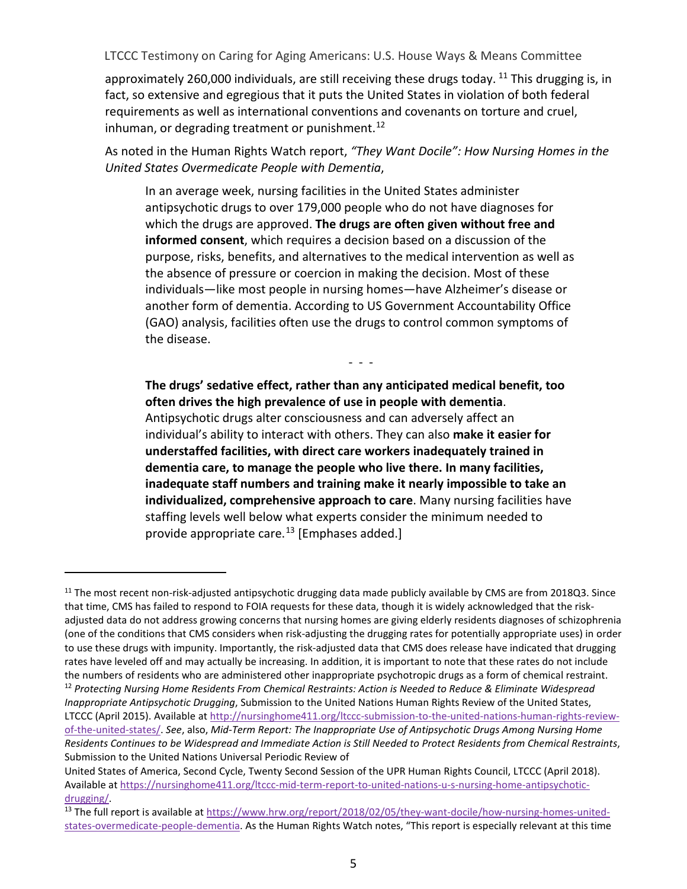approximately 260,000 individuals, are still receiving these drugs today.  $11$  This drugging is, in fact, so extensive and egregious that it puts the United States in violation of both federal requirements as well as international conventions and covenants on torture and cruel, inhuman, or degrading treatment or punishment.<sup>[12](#page-4-1)</sup>

As noted in the Human Rights Watch report, *"They Want Docile": How Nursing Homes in the United States Overmedicate People with Dementia*,

In an average week, nursing facilities in the United States administer antipsychotic drugs to over 179,000 people who do not have diagnoses for which the drugs are approved. **The drugs are often given without free and informed consent**, which requires a decision based on a discussion of the purpose, risks, benefits, and alternatives to the medical intervention as well as the absence of pressure or coercion in making the decision. Most of these individuals—like most people in nursing homes—have Alzheimer's disease or another form of dementia. According to US Government Accountability Office (GAO) analysis, facilities often use the drugs to control common symptoms of the disease.

- - -

**The drugs' sedative effect, rather than any anticipated medical benefit, too often drives the high prevalence of use in people with dementia**. Antipsychotic drugs alter consciousness and can adversely affect an individual's ability to interact with others. They can also **make it easier for understaffed facilities, with direct care workers inadequately trained in dementia care, to manage the people who live there. In many facilities, inadequate staff numbers and training make it nearly impossible to take an individualized, comprehensive approach to care**. Many nursing facilities have staffing levels well below what experts consider the minimum needed to provide appropriate care.<sup>[13](#page-4-2)</sup> [Emphases added.]

<span id="page-4-0"></span> $11$  The most recent non-risk-adjusted antipsychotic drugging data made publicly available by CMS are from 2018Q3. Since that time, CMS has failed to respond to FOIA requests for these data, though it is widely acknowledged that the riskadjusted data do not address growing concerns that nursing homes are giving elderly residents diagnoses of schizophrenia (one of the conditions that CMS considers when risk-adjusting the drugging rates for potentially appropriate uses) in order to use these drugs with impunity. Importantly, the risk-adjusted data that CMS does release have indicated that drugging rates have leveled off and may actually be increasing. In addition, it is important to note that these rates do not include the numbers of residents who are administered other inappropriate psychotropic drugs as a form of chemical restraint.

<span id="page-4-1"></span><sup>12</sup> *Protecting Nursing Home Residents From Chemical Restraints: Action is Needed to Reduce & Eliminate Widespread Inappropriate Antipsychotic Drugging*, Submission to the United Nations Human Rights Review of the United States, LTCCC (April 2015). Available at [http://nursinghome411.org/ltccc-submission-to-the-united-nations-human-rights-review](http://nursinghome411.org/ltccc-submission-to-the-united-nations-human-rights-review-of-the-united-states/)[of-the-united-states/.](http://nursinghome411.org/ltccc-submission-to-the-united-nations-human-rights-review-of-the-united-states/) *See*, also, *Mid-Term Report: The Inappropriate Use of Antipsychotic Drugs Among Nursing Home Residents Continues to be Widespread and Immediate Action is Still Needed to Protect Residents from Chemical Restraints*, Submission to the United Nations Universal Periodic Review of

United States of America, Second Cycle, Twenty Second Session of the UPR Human Rights Council, LTCCC (April 2018). Available at [https://nursinghome411.org/ltccc-mid-term-report-to-united-nations-u-s-nursing-home-antipsychotic-](https://nursinghome411.org/ltccc-mid-term-report-to-united-nations-u-s-nursing-home-antipsychotic-drugging/)

<span id="page-4-2"></span>[drugging/.](https://nursinghome411.org/ltccc-mid-term-report-to-united-nations-u-s-nursing-home-antipsychotic-drugging/)<br><sup>13</sup> The full report is available at [https://www.hrw.org/report/2018/02/05/they-want-docile/how-nursing-homes-united](https://www.hrw.org/report/2018/02/05/they-want-docile/how-nursing-homes-united-states-overmedicate-people-dementia)[states-overmedicate-people-dementia.](https://www.hrw.org/report/2018/02/05/they-want-docile/how-nursing-homes-united-states-overmedicate-people-dementia) As the Human Rights Watch notes, "This report is especially relevant at this time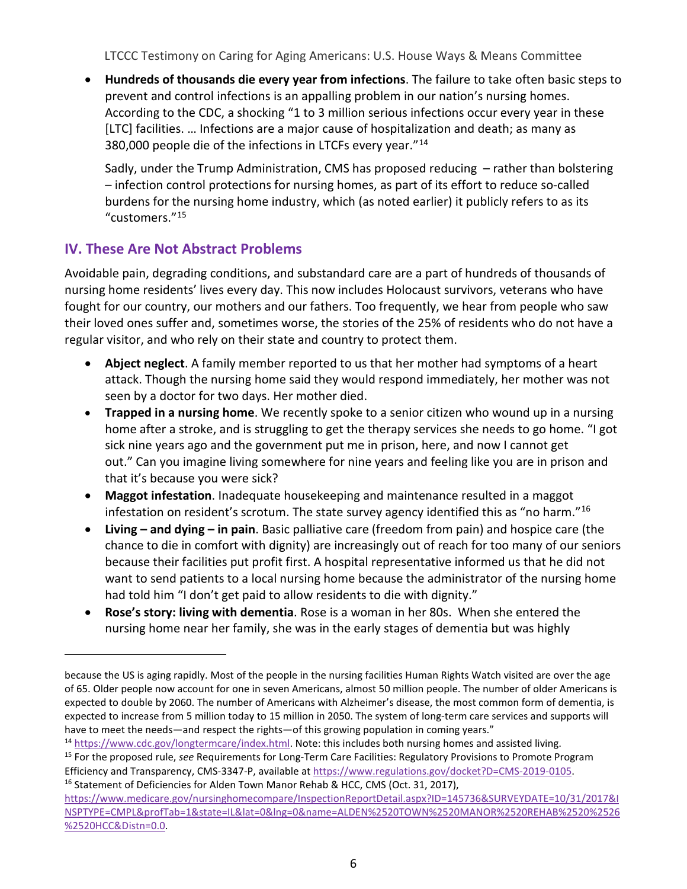• **Hundreds of thousands die every year from infections**. The failure to take often basic steps to prevent and control infections is an appalling problem in our nation's nursing homes. According to the CDC, a shocking "1 to 3 million serious infections occur every year in these [LTC] facilities. … Infections are a major cause of hospitalization and death; as many as 380,000 people die of the infections in LTCFs every year."[14](#page-5-0)

Sadly, under the Trump Administration, CMS has proposed reducing – rather than bolstering – infection control protections for nursing homes, as part of its effort to reduce so-called burdens for the nursing home industry, which (as noted earlier) it publicly refers to as its "customers."[15](#page-5-1)

# **IV. These Are Not Abstract Problems**

 $\overline{a}$ 

Avoidable pain, degrading conditions, and substandard care are a part of hundreds of thousands of nursing home residents' lives every day. This now includes Holocaust survivors, veterans who have fought for our country, our mothers and our fathers. Too frequently, we hear from people who saw their loved ones suffer and, sometimes worse, the stories of the 25% of residents who do not have a regular visitor, and who rely on their state and country to protect them.

- **Abject neglect**. A family member reported to us that her mother had symptoms of a heart attack. Though the nursing home said they would respond immediately, her mother was not seen by a doctor for two days. Her mother died.
- **Trapped in a nursing home**. We recently spoke to a senior citizen who wound up in a nursing home after a stroke, and is struggling to get the therapy services she needs to go home. "I got sick nine years ago and the government put me in prison, here, and now I cannot get out." Can you imagine living somewhere for nine years and feeling like you are in prison and that it's because you were sick?
- **Maggot infestation**. Inadequate housekeeping and maintenance resulted in a maggot infestation on resident's scrotum. The state survey agency identified this as "no harm."[16](#page-5-2)
- **Living – and dying – in pain**. Basic palliative care (freedom from pain) and hospice care (the chance to die in comfort with dignity) are increasingly out of reach for too many of our seniors because their facilities put profit first. A hospital representative informed us that he did not want to send patients to a local nursing home because the administrator of the nursing home had told him "I don't get paid to allow residents to die with dignity."
- **Rose's story: living with dementia**. Rose is a woman in her 80s. When she entered the nursing home near her family, she was in the early stages of dementia but was highly

because the US is aging rapidly. Most of the people in the nursing facilities Human Rights Watch visited are over the age of 65. Older people now account for one in seven Americans, almost 50 million people. The number of older Americans is expected to double by 2060. The number of Americans with Alzheimer's disease, the most common form of dementia, is expected to increase from 5 million today to 15 million in 2050. The system of long-term care services and supports will have to meet the needs—and respect the rights—of this growing population in coming years."

<span id="page-5-0"></span><sup>14</sup> [https://www.cdc.gov/longtermcare/index.html.](https://www.cdc.gov/longtermcare/index.html) Note: this includes both nursing homes and assisted living.

<span id="page-5-1"></span><sup>15</sup> For the proposed rule, *see* Requirements for Long-Term Care Facilities: Regulatory Provisions to Promote Program Efficiency and Transparency, CMS-3347-P, available at [https://www.regulations.gov/docket?D=CMS-2019-0105.](https://www.regulations.gov/docket?D=CMS-2019-0105)<br><sup>16</sup> Statement of Deficiencies for Alden Town Manor Rehab & HCC, CMS (Oct. 31, 2017),

<span id="page-5-2"></span>[https://www.medicare.gov/nursinghomecompare/InspectionReportDetail.aspx?ID=145736&SURVEYDATE=10/31/2017&I](https://www.medicare.gov/nursinghomecompare/InspectionReportDetail.aspx?ID=145736&SURVEYDATE=10/31/2017&INSPTYPE=CMPL&profTab=1&state=IL&lat=0&lng=0&name=ALDEN%2520TOWN%2520MANOR%2520REHAB%2520%2526%2520HCC&Distn=0.0) [NSPTYPE=CMPL&profTab=1&state=IL&lat=0&lng=0&name=ALDEN%2520TOWN%2520MANOR%2520REHAB%2520%2526](https://www.medicare.gov/nursinghomecompare/InspectionReportDetail.aspx?ID=145736&SURVEYDATE=10/31/2017&INSPTYPE=CMPL&profTab=1&state=IL&lat=0&lng=0&name=ALDEN%2520TOWN%2520MANOR%2520REHAB%2520%2526%2520HCC&Distn=0.0) [%2520HCC&Distn=0.0.](https://www.medicare.gov/nursinghomecompare/InspectionReportDetail.aspx?ID=145736&SURVEYDATE=10/31/2017&INSPTYPE=CMPL&profTab=1&state=IL&lat=0&lng=0&name=ALDEN%2520TOWN%2520MANOR%2520REHAB%2520%2526%2520HCC&Distn=0.0)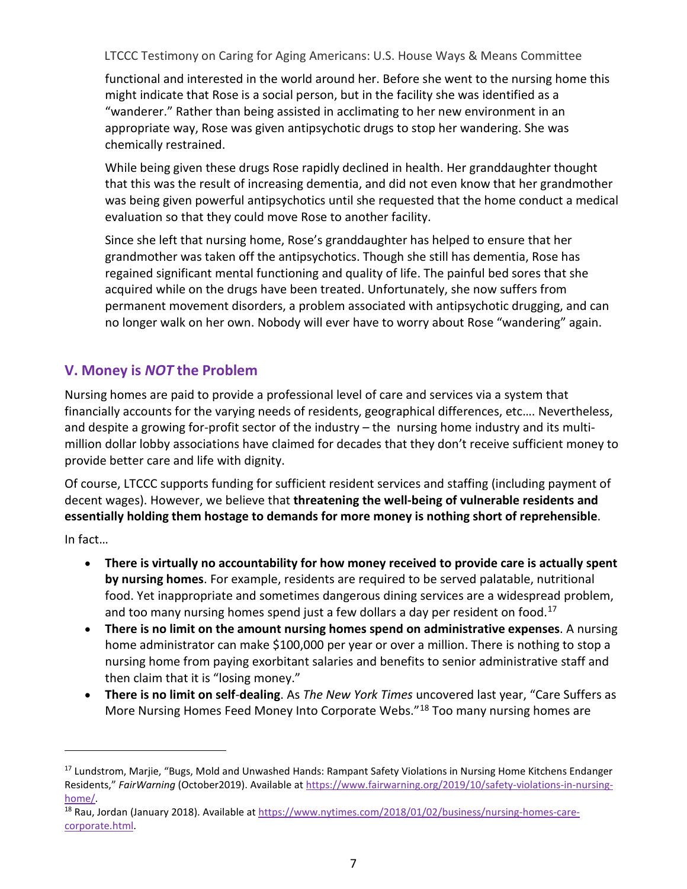functional and interested in the world around her. Before she went to the nursing home this might indicate that Rose is a social person, but in the facility she was identified as a "wanderer." Rather than being assisted in acclimating to her new environment in an appropriate way, Rose was given antipsychotic drugs to stop her wandering. She was chemically restrained.

While being given these drugs Rose rapidly declined in health. Her granddaughter thought that this was the result of increasing dementia, and did not even know that her grandmother was being given powerful antipsychotics until she requested that the home conduct a medical evaluation so that they could move Rose to another facility.

Since she left that nursing home, Rose's granddaughter has helped to ensure that her grandmother was taken off the antipsychotics. Though she still has dementia, Rose has regained significant mental functioning and quality of life. The painful bed sores that she acquired while on the drugs have been treated. Unfortunately, she now suffers from permanent movement disorders, a problem associated with antipsychotic drugging, and can no longer walk on her own. Nobody will ever have to worry about Rose "wandering" again.

# **V. Money is** *NOT* **the Problem**

Nursing homes are paid to provide a professional level of care and services via a system that financially accounts for the varying needs of residents, geographical differences, etc…. Nevertheless, and despite a growing for-profit sector of the industry – the nursing home industry and its multimillion dollar lobby associations have claimed for decades that they don't receive sufficient money to provide better care and life with dignity.

Of course, LTCCC supports funding for sufficient resident services and staffing (including payment of decent wages). However, we believe that **threatening the well-being of vulnerable residents and essentially holding them hostage to demands for more money is nothing short of reprehensible**.

In fact…

- **There is virtually no accountability for how money received to provide care is actually spent by nursing homes**. For example, residents are required to be served palatable, nutritional food. Yet inappropriate and sometimes dangerous dining services are a widespread problem, and too many nursing homes spend just a few dollars a day per resident on food.<sup>[17](#page-6-0)</sup>
- **There is no limit on the amount nursing homes spend on administrative expenses**. A nursing home administrator can make \$100,000 per year or over a million. There is nothing to stop a nursing home from paying exorbitant salaries and benefits to senior administrative staff and then claim that it is "losing money."
- **There is no limit on self**-**dealing**. As *The New York Times* uncovered last year, "Care Suffers as More Nursing Homes Feed Money Into Corporate Webs.["18](#page-6-1) Too many nursing homes are

<span id="page-6-0"></span><sup>&</sup>lt;sup>17</sup> Lundstrom, Marjie, "Bugs, Mold and Unwashed Hands: Rampant Safety Violations in Nursing Home Kitchens Endanger Residents," *FairWarning* (October2019). Available at [https://www.fairwarning.org/2019/10/safety-violations-in-nursing-](https://www.fairwarning.org/2019/10/safety-violations-in-nursing-home/)

<span id="page-6-1"></span>[home/.](https://www.fairwarning.org/2019/10/safety-violations-in-nursing-home/)<br><sup>18</sup> Rau, Jordan (January 2018). Available a[t https://www.nytimes.com/2018/01/02/business/nursing-homes-care](https://www.nytimes.com/2018/01/02/business/nursing-homes-care-corporate.html)[corporate.html.](https://www.nytimes.com/2018/01/02/business/nursing-homes-care-corporate.html)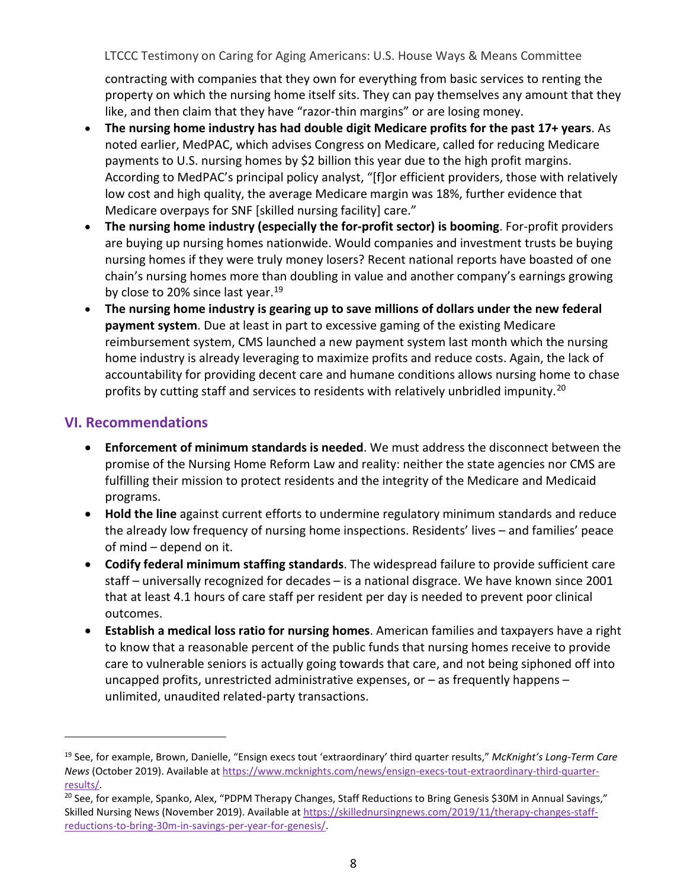contracting with companies that they own for everything from basic services to renting the property on which the nursing home itself sits. They can pay themselves any amount that they like, and then claim that they have "razor-thin margins" or are losing money.

- **The nursing home industry has had double digit Medicare profits for the past 17+ years**. As noted earlier, MedPAC, which advises Congress on Medicare, called for reducing Medicare payments to U.S. nursing homes by \$2 billion this year due to the high profit margins. According to MedPAC's principal policy analyst, "[f]or efficient providers, those with relatively low cost and high quality, the average Medicare margin was 18%, further evidence that Medicare overpays for SNF [skilled nursing facility] care."
- **The nursing home industry (especially the for-profit sector) is booming**. For-profit providers are buying up nursing homes nationwide. Would companies and investment trusts be buying nursing homes if they were truly money losers? Recent national reports have boasted of one chain's nursing homes more than doubling in value and another company's earnings growing by close to 20% since last year.<sup>[19](#page-7-0)</sup>
- **The nursing home industry is gearing up to save millions of dollars under the new federal payment system**. Due at least in part to excessive gaming of the existing Medicare reimbursement system, CMS launched a new payment system last month which the nursing home industry is already leveraging to maximize profits and reduce costs. Again, the lack of accountability for providing decent care and humane conditions allows nursing home to chase profits by cutting staff and services to residents with relatively unbridled impunity.<sup>[20](#page-7-1)</sup>

## **VI. Recommendations**

- **Enforcement of minimum standards is needed**. We must address the disconnect between the promise of the Nursing Home Reform Law and reality: neither the state agencies nor CMS are fulfilling their mission to protect residents and the integrity of the Medicare and Medicaid programs.
- **Hold the line** against current efforts to undermine regulatory minimum standards and reduce the already low frequency of nursing home inspections. Residents' lives – and families' peace of mind – depend on it.
- **Codify federal minimum staffing standards**. The widespread failure to provide sufficient care staff – universally recognized for decades – is a national disgrace. We have known since 2001 that at least 4.1 hours of care staff per resident per day is needed to prevent poor clinical outcomes.
- **Establish a medical loss ratio for nursing homes**. American families and taxpayers have a right to know that a reasonable percent of the public funds that nursing homes receive to provide care to vulnerable seniors is actually going towards that care, and not being siphoned off into uncapped profits, unrestricted administrative expenses, or – as frequently happens – unlimited, unaudited related-party transactions.

<span id="page-7-0"></span><sup>19</sup> See, for example, Brown, Danielle, "Ensign execs tout 'extraordinary' third quarter results," *McKnight's Long-Term Care News* (October 2019). Available a[t https://www.mcknights.com/news/ensign-execs-tout-extraordinary-third-quarter-](https://www.mcknights.com/news/ensign-execs-tout-extraordinary-third-quarter-results/)

<span id="page-7-1"></span>[results/.](https://www.mcknights.com/news/ensign-execs-tout-extraordinary-third-quarter-results/)<br><sup>20</sup> See, for example, Spanko, Alex, "PDPM Therapy Changes, Staff Reductions to Bring Genesis \$30M in Annual Savings," Skilled Nursing News (November 2019). Available a[t https://skillednursingnews.com/2019/11/therapy-changes-staff](https://skillednursingnews.com/2019/11/therapy-changes-staff-reductions-to-bring-30m-in-savings-per-year-for-genesis/)[reductions-to-bring-30m-in-savings-per-year-for-genesis/.](https://skillednursingnews.com/2019/11/therapy-changes-staff-reductions-to-bring-30m-in-savings-per-year-for-genesis/)